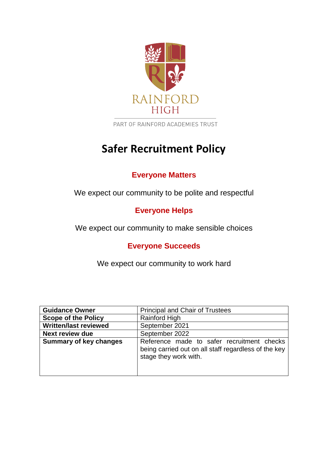

PART OF RAINFORD ACADEMIES TRUST

# **Safer Recruitment Policy**

# **Everyone Matters**

We expect our community to be polite and respectful

# **Everyone Helps**

We expect our community to make sensible choices

# **Everyone Succeeds**

We expect our community to work hard

| <b>Guidance Owner</b>         | <b>Principal and Chair of Trustees</b>                                                                                      |
|-------------------------------|-----------------------------------------------------------------------------------------------------------------------------|
| <b>Scope of the Policy</b>    | <b>Rainford High</b>                                                                                                        |
| <b>Written/last reviewed</b>  | September 2021                                                                                                              |
| <b>Next review due</b>        | September 2022                                                                                                              |
| <b>Summary of key changes</b> | Reference made to safer recruitment checks<br>being carried out on all staff regardless of the key<br>stage they work with. |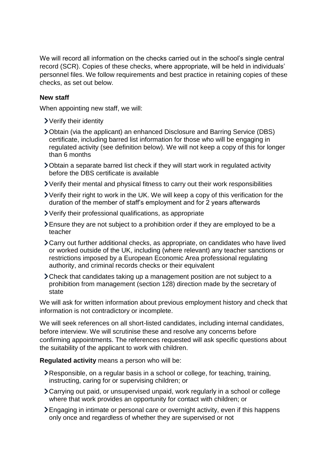We will record all information on the checks carried out in the school's single central record (SCR). Copies of these checks, where appropriate, will be held in individuals' personnel files. We follow requirements and best practice in retaining copies of these checks, as set out below.

#### **New staff**

When appointing new staff, we will:

- Verify their identity
- Obtain (via the applicant) an enhanced Disclosure and Barring Service (DBS) certificate, including barred list information for those who will be engaging in regulated activity (see definition below). We will not keep a copy of this for longer than 6 months
- Obtain a separate barred list check if they will start work in regulated activity before the DBS certificate is available
- Verify their mental and physical fitness to carry out their work responsibilities
- Verify their right to work in the UK. We will keep a copy of this verification for the duration of the member of staff's employment and for 2 years afterwards
- Verify their professional qualifications, as appropriate
- Ensure they are not subject to a prohibition order if they are employed to be a teacher
- Carry out further additional checks, as appropriate, on candidates who have lived or worked outside of the UK, including (where relevant) any teacher sanctions or restrictions imposed by a European Economic Area professional regulating authority, and criminal records checks or their equivalent
- Check that candidates taking up a management position are not subject to a prohibition from management (section 128) direction made by the secretary of state

We will ask for written information about previous employment history and check that information is not contradictory or incomplete.

We will seek references on all short-listed candidates, including internal candidates, before interview. We will scrutinise these and resolve any concerns before confirming appointments. The references requested will ask specific questions about the suitability of the applicant to work with children.

**Regulated activity** means a person who will be:

- Responsible, on a regular basis in a school or college, for teaching, training, instructing, caring for or supervising children; or
- Carrying out paid, or unsupervised unpaid, work regularly in a school or college where that work provides an opportunity for contact with children; or
- Engaging in intimate or personal care or overnight activity, even if this happens only once and regardless of whether they are supervised or not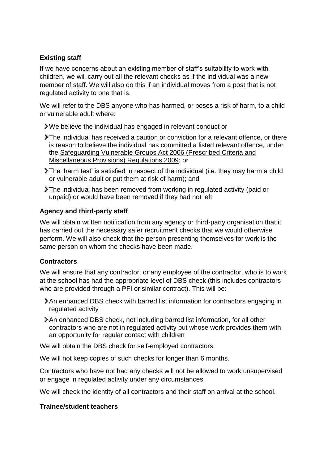# **Existing staff**

If we have concerns about an existing member of staff's suitability to work with children, we will carry out all the relevant checks as if the individual was a new member of staff. We will also do this if an individual moves from a post that is not regulated activity to one that is.

We will refer to the DBS anyone who has harmed, or poses a risk of harm, to a child or vulnerable adult where:

- We believe the individual has engaged in relevant conduct or
- The individual has received a caution or conviction for a relevant offence, or there is reason to believe the individual has committed a listed relevant offence, under the [Safeguarding Vulnerable Groups Act 2006 \(Prescribed Criteria and](http://www.legislation.gov.uk/uksi/2009/37/contents/made)  [Miscellaneous Provisions\) Regulations 2009;](http://www.legislation.gov.uk/uksi/2009/37/contents/made) or
- The 'harm test' is satisfied in respect of the individual (i.e. they may harm a child or vulnerable adult or put them at risk of harm); and
- The individual has been removed from working in regulated activity (paid or unpaid) or would have been removed if they had not left

#### **Agency and third-party staff**

We will obtain written notification from any agency or third-party organisation that it has carried out the necessary safer recruitment checks that we would otherwise perform. We will also check that the person presenting themselves for work is the same person on whom the checks have been made.

## **Contractors**

We will ensure that any contractor, or any employee of the contractor, who is to work at the school has had the appropriate level of DBS check (this includes contractors who are provided through a PFI or similar contract). This will be:

- An enhanced DBS check with barred list information for contractors engaging in regulated activity
- An enhanced DBS check, not including barred list information, for all other contractors who are not in regulated activity but whose work provides them with an opportunity for regular contact with children

We will obtain the DBS check for self-employed contractors.

We will not keep copies of such checks for longer than 6 months.

Contractors who have not had any checks will not be allowed to work unsupervised or engage in regulated activity under any circumstances.

We will check the identity of all contractors and their staff on arrival at the school.

#### **Trainee/student teachers**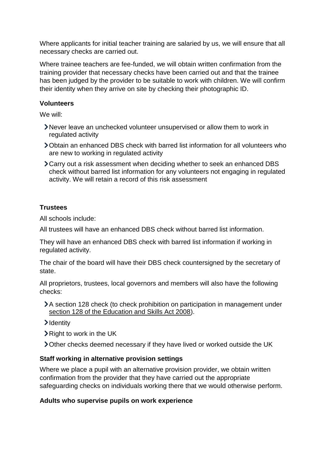Where applicants for initial teacher training are salaried by us, we will ensure that all necessary checks are carried out.

Where trainee teachers are fee-funded, we will obtain written confirmation from the training provider that necessary checks have been carried out and that the trainee has been judged by the provider to be suitable to work with children. We will confirm their identity when they arrive on site by checking their photographic ID.

#### **Volunteers**

We will:

- Never leave an unchecked volunteer unsupervised or allow them to work in regulated activity
- Obtain an enhanced DBS check with barred list information for all volunteers who are new to working in regulated activity
- Carry out a risk assessment when deciding whether to seek an enhanced DBS check without barred list information for any volunteers not engaging in regulated activity. We will retain a record of this risk assessment

## **Trustees**

All schools include:

All trustees will have an enhanced DBS check without barred list information.

They will have an enhanced DBS check with barred list information if working in regulated activity.

The chair of the board will have their DBS check countersigned by the secretary of state.

All proprietors, trustees, local governors and members will also have the following checks:

- A section 128 check (to check prohibition on participation in management under [section 128 of the Education and Skills Act 2008\)](https://www.legislation.gov.uk/ukpga/2008/25/section/128).
- >Identity
- Right to work in the UK
- Other checks deemed necessary if they have lived or worked outside the UK

## **Staff working in alternative provision settings**

Where we place a pupil with an alternative provision provider, we obtain written confirmation from the provider that they have carried out the appropriate safeguarding checks on individuals working there that we would otherwise perform.

## **Adults who supervise pupils on work experience**